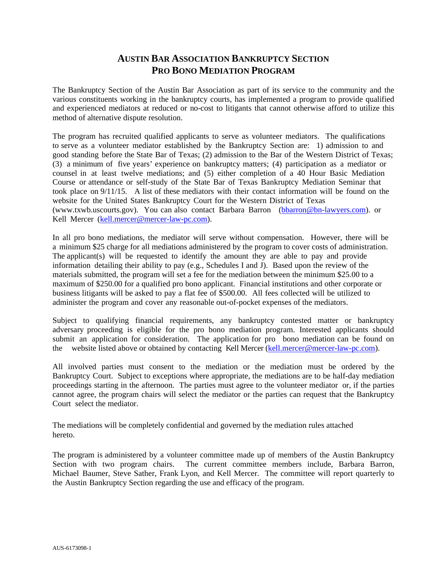## **AUSTIN BAR ASSOCIATION BANKRUPTCY SECTION PRO BONO MEDIATION PROGRAM**

The Bankruptcy Section of the Austin Bar Association as part of its service to the community and the various constituents working in the bankruptcy courts, has implemented a program to provide qualified and experienced mediators at reduced or no-cost to litigants that cannot otherwise afford to utilize this method of alternative dispute resolution.

The program has recruited qualified applicants to serve as volunteer mediators. The qualifications to serve as a volunteer mediator established by the Bankruptcy Section are: 1) admission to and good standing before the State Bar of Texas; (2) admission to the Bar of the Western District of Texas; (3) a minimum of five years' experience on bankruptcy matters; (4) participation as a mediator or counsel in at least twelve mediations; and (5) either completion of a 40 Hour Basic Mediation Course or attendance or self-study of the State Bar of Texas Bankruptcy Mediation Seminar that took place on 9/11/15. A list of these mediators with their contact information will be found on the website for the United States Bankruptcy Court for the Western District of Texas [\(www.txwb.uscourts.gov\).](mailto:bbarron@bn-lawyers.com) You can also c[ontact Barbara Barron \(bbarron](mailto:kell.mercer@mercer-law-pc.com)@bn-lawyers.com). or Kell Mercer (kell.mercer@mercer-law-pc.com).

In all pro bono mediations, the mediator will serve without compensation. However, there will be a minimum \$25 charge for all mediations administered by the program to cover costs of administration. The applicant(s) will be requested to identify the amount they are able to pay and provide information detailing their ability to pay (e.g., Schedules I and J). Based upon the review of the materials submitted, the program will set a fee for the mediation between the minimum \$25.00 to a maximum of \$250.00 for a qualified pro bono applicant. Financial institutions and other corporate or business litigants will be asked to pay a flat fee of \$500.00. All fees collected will be utilized to administer the program and cover any reasonable out-of-pocket expenses of the mediators.

Subject to qualifying financial requirements, any bankruptcy contested matter or bankruptcy adversary proceeding is eligible for the pro bono mediation program. Interested applicants should submit an application for consideration. The ap[plication for pro bono mediatio](mailto:kell.mercer@mercer-law-pc.com)n can be found on the website listed above or obtained by contacting Kell Mercer (kell.mercer@mercer-law-pc.com).

All involved parties must consent to the mediation or the mediation must be ordered by the Bankruptcy Court. Subject to exceptions where appropriate, the mediations are to be half-day mediation proceedings starting in the afternoon. The parties must agree to the volunteer mediator or, if the parties cannot agree, the program chairs will select the mediator or the parties can request that the Bankruptcy Court select the mediator.

The mediations will be completely confidential and governed by the mediation rules attached hereto.

The program is administered by a volunteer committee made up of members of the Austin Bankruptcy Section with two program chairs. The current committee members include, Barbara Barron, Michael Baumer, Steve Sather, Frank Lyon, and Kell Mercer. The committee will report quarterly to the Austin Bankruptcy Section regarding the use and efficacy of the program.